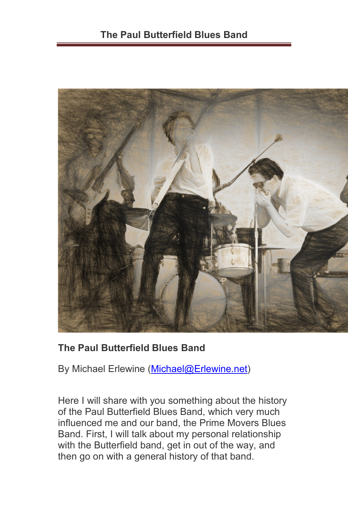

## **The Paul Butterfield Blues Band**

By Michael Erlewine [\(Michael@Erlewine.net\)](mailto:Michael@Erlewine.net)

Here I will share with you something about the history of the Paul Butterfield Blues Band, which very much influenced me and our band, the Prime Movers Blues Band. First, I will talk about my personal relationship with the Butterfield band, get in out of the way, and then go on with a general history of that band.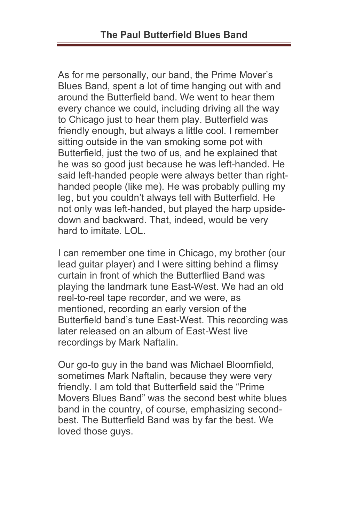As for me personally, our band, the Prime Mover's Blues Band, spent a lot of time hanging out with and around the Butterfield band. We went to hear them every chance we could, including driving all the way to Chicago just to hear them play. Butterfield was friendly enough, but always a little cool. I remember sitting outside in the van smoking some pot with Butterfield, just the two of us, and he explained that he was so good just because he was left-handed. He said left-handed people were always better than righthanded people (like me). He was probably pulling my leg, but you couldn't always tell with Butterfield. He not only was left-handed, but played the harp upsidedown and backward. That, indeed, would be very hard to imitate. LOL.

I can remember one time in Chicago, my brother (our lead guitar player) and I were sitting behind a flimsy curtain in front of which the Butterflied Band was playing the landmark tune East-West. We had an old reel-to-reel tape recorder, and we were, as mentioned, recording an early version of the Butterfield band's tune East-West. This recording was later released on an album of East-West live recordings by Mark Naftalin.

Our go-to guy in the band was Michael Bloomfield, sometimes Mark Naftalin, because they were very friendly. I am told that Butterfield said the "Prime Movers Blues Band" was the second best white blues band in the country, of course, emphasizing secondbest. The Butterfield Band was by far the best. We loved those guys.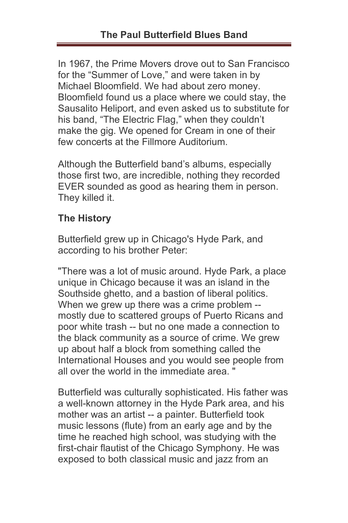In 1967, the Prime Movers drove out to San Francisco for the "Summer of Love," and were taken in by Michael Bloomfield. We had about zero money. Bloomfield found us a place where we could stay, the Sausalito Heliport, and even asked us to substitute for his band, "The Electric Flag," when they couldn't make the gig. We opened for Cream in one of their few concerts at the Fillmore Auditorium.

Although the Butterfield band's albums, especially those first two, are incredible, nothing they recorded EVER sounded as good as hearing them in person. They killed it.

## **The History**

Butterfield grew up in Chicago's Hyde Park, and according to his brother Peter:

"There was a lot of music around. Hyde Park, a place unique in Chicago because it was an island in the Southside ghetto, and a bastion of liberal politics. When we grew up there was a crime problem - mostly due to scattered groups of Puerto Ricans and poor white trash -- but no one made a connection to the black community as a source of crime. We grew up about half a block from something called the International Houses and you would see people from all over the world in the immediate area. "

Butterfield was culturally sophisticated. His father was a well-known attorney in the Hyde Park area, and his mother was an artist -- a painter. Butterfield took music lessons (flute) from an early age and by the time he reached high school, was studying with the first-chair flautist of the Chicago Symphony. He was exposed to both classical music and jazz from an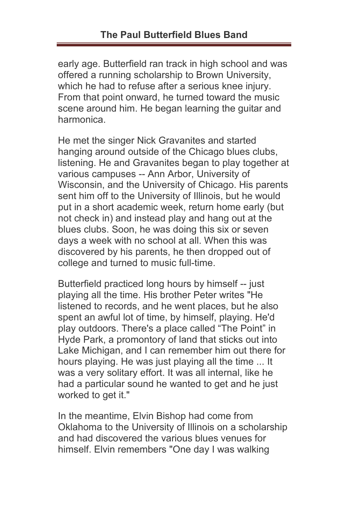early age. Butterfield ran track in high school and was offered a running scholarship to Brown University, which he had to refuse after a serious knee injury. From that point onward, he turned toward the music scene around him. He began learning the guitar and harmonica.

He met the singer Nick Gravanites and started hanging around outside of the Chicago blues clubs, listening. He and Gravanites began to play together at various campuses -- Ann Arbor, University of Wisconsin, and the University of Chicago. His parents sent him off to the University of Illinois, but he would put in a short academic week, return home early (but not check in) and instead play and hang out at the blues clubs. Soon, he was doing this six or seven days a week with no school at all. When this was discovered by his parents, he then dropped out of college and turned to music full-time.

Butterfield practiced long hours by himself -- just playing all the time. His brother Peter writes "He listened to records, and he went places, but he also spent an awful lot of time, by himself, playing. He'd play outdoors. There's a place called "The Point" in Hyde Park, a promontory of land that sticks out into Lake Michigan, and I can remember him out there for hours playing. He was just playing all the time ... It was a very solitary effort. It was all internal, like he had a particular sound he wanted to get and he just worked to get it."

In the meantime, Elvin Bishop had come from Oklahoma to the University of Illinois on a scholarship and had discovered the various blues venues for himself. Elvin remembers "One day I was walking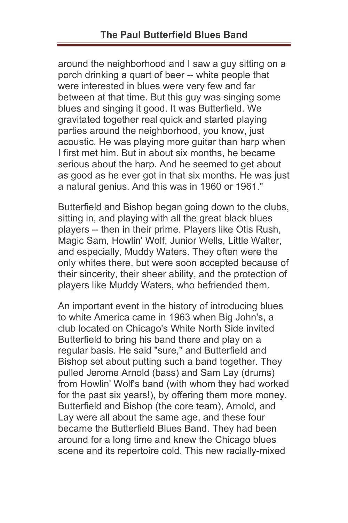around the neighborhood and I saw a guy sitting on a porch drinking a quart of beer -- white people that were interested in blues were very few and far between at that time. But this guy was singing some blues and singing it good. It was Butterfield. We gravitated together real quick and started playing parties around the neighborhood, you know, just acoustic. He was playing more guitar than harp when I first met him. But in about six months, he became serious about the harp. And he seemed to get about as good as he ever got in that six months. He was just a natural genius. And this was in 1960 or 1961."

Butterfield and Bishop began going down to the clubs, sitting in, and playing with all the great black blues players -- then in their prime. Players like Otis Rush, Magic Sam, Howlin' Wolf, Junior Wells, Little Walter, and especially, Muddy Waters. They often were the only whites there, but were soon accepted because of their sincerity, their sheer ability, and the protection of players like Muddy Waters, who befriended them.

An important event in the history of introducing blues to white America came in 1963 when Big John's, a club located on Chicago's White North Side invited Butterfield to bring his band there and play on a regular basis. He said "sure," and Butterfield and Bishop set about putting such a band together. They pulled Jerome Arnold (bass) and Sam Lay (drums) from Howlin' Wolf's band (with whom they had worked for the past six years!), by offering them more money. Butterfield and Bishop (the core team), Arnold, and Lay were all about the same age, and these four became the Butterfield Blues Band. They had been around for a long time and knew the Chicago blues scene and its repertoire cold. This new racially-mixed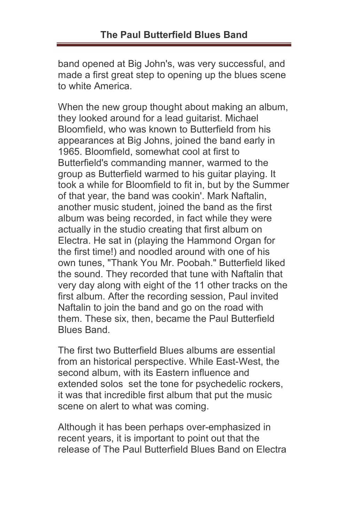band opened at Big John's, was very successful, and made a first great step to opening up the blues scene to white America.

When the new group thought about making an album, they looked around for a lead guitarist. Michael Bloomfield, who was known to Butterfield from his appearances at Big Johns, joined the band early in 1965. Bloomfield, somewhat cool at first to Butterfield's commanding manner, warmed to the group as Butterfield warmed to his guitar playing. It took a while for Bloomfield to fit in, but by the Summer of that year, the band was cookin'. Mark Naftalin, another music student, joined the band as the first album was being recorded, in fact while they were actually in the studio creating that first album on Electra. He sat in (playing the Hammond Organ for the first time!) and noodled around with one of his own tunes, "Thank You Mr. Poobah." Butterfield liked the sound. They recorded that tune with Naftalin that very day along with eight of the 11 other tracks on the first album. After the recording session, Paul invited Naftalin to join the band and go on the road with them. These six, then, became the Paul Butterfield Blues Band.

The first two Butterfield Blues albums are essential from an historical perspective. While East-West, the second album, with its Eastern influence and extended solos set the tone for psychedelic rockers, it was that incredible first album that put the music scene on alert to what was coming.

Although it has been perhaps over-emphasized in recent years, it is important to point out that the release of The Paul Butterfield Blues Band on Electra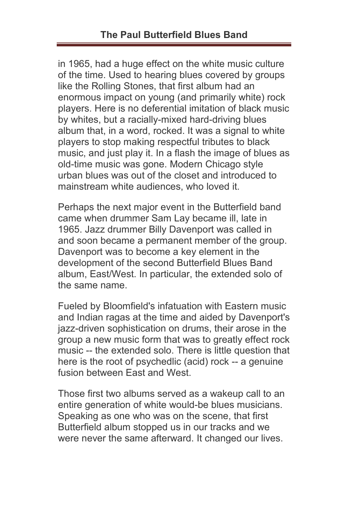in 1965, had a huge effect on the white music culture of the time. Used to hearing blues covered by groups like the Rolling Stones, that first album had an enormous impact on young (and primarily white) rock players. Here is no deferential imitation of black music by whites, but a racially-mixed hard-driving blues album that, in a word, rocked. It was a signal to white players to stop making respectful tributes to black music, and just play it. In a flash the image of blues as old-time music was gone. Modern Chicago style urban blues was out of the closet and introduced to mainstream white audiences, who loved it.

Perhaps the next major event in the Butterfield band came when drummer Sam Lay became ill, late in 1965. Jazz drummer Billy Davenport was called in and soon became a permanent member of the group. Davenport was to become a key element in the development of the second Butterfield Blues Band album, East/West. In particular, the extended solo of the same name.

Fueled by Bloomfield's infatuation with Eastern music and Indian ragas at the time and aided by Davenport's jazz-driven sophistication on drums, their arose in the group a new music form that was to greatly effect rock music -- the extended solo. There is little question that here is the root of psychedlic (acid) rock -- a genuine fusion between East and West.

Those first two albums served as a wakeup call to an entire generation of white would-be blues musicians. Speaking as one who was on the scene, that first Butterfield album stopped us in our tracks and we were never the same afterward. It changed our lives.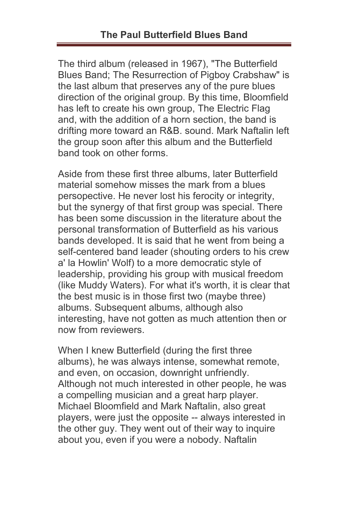The third album (released in 1967), "The Butterfield Blues Band; The Resurrection of Pigboy Crabshaw" is the last album that preserves any of the pure blues direction of the original group. By this time, Bloomfield has left to create his own group, The Electric Flag and, with the addition of a horn section, the band is drifting more toward an R&B. sound. Mark Naftalin left the group soon after this album and the Butterfield band took on other forms.

Aside from these first three albums, later Butterfield material somehow misses the mark from a blues persopective. He never lost his ferocity or integrity, but the synergy of that first group was special. There has been some discussion in the literature about the personal transformation of Butterfield as his various bands developed. It is said that he went from being a self-centered band leader (shouting orders to his crew a' la Howlin' Wolf) to a more democratic style of leadership, providing his group with musical freedom (like Muddy Waters). For what it's worth, it is clear that the best music is in those first two (maybe three) albums. Subsequent albums, although also interesting, have not gotten as much attention then or now from reviewers.

When I knew Butterfield (during the first three albums), he was always intense, somewhat remote, and even, on occasion, downright unfriendly. Although not much interested in other people, he was a compelling musician and a great harp player. Michael Bloomfield and Mark Naftalin, also great players, were just the opposite -- always interested in the other guy. They went out of their way to inquire about you, even if you were a nobody. Naftalin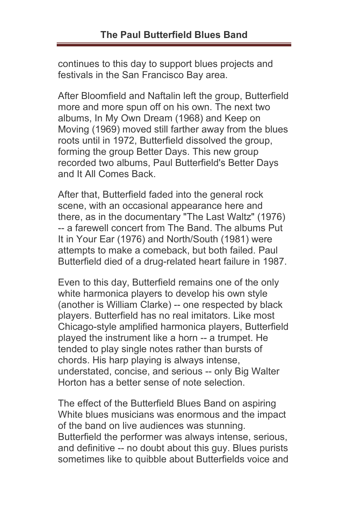continues to this day to support blues projects and festivals in the San Francisco Bay area.

After Bloomfield and Naftalin left the group, Butterfield more and more spun off on his own. The next two albums, In My Own Dream (1968) and Keep on Moving (1969) moved still farther away from the blues roots until in 1972, Butterfield dissolved the group, forming the group Better Days. This new group recorded two albums, Paul Butterfield's Better Days and It All Comes Back.

After that, Butterfield faded into the general rock scene, with an occasional appearance here and there, as in the documentary "The Last Waltz" (1976) -- a farewell concert from The Band. The albums Put It in Your Ear (1976) and North/South (1981) were attempts to make a comeback, but both failed. Paul Butterfield died of a drug-related heart failure in 1987.

Even to this day, Butterfield remains one of the only white harmonica players to develop his own style (another is William Clarke) -- one respected by black players. Butterfield has no real imitators. Like most Chicago-style amplified harmonica players, Butterfield played the instrument like a horn -- a trumpet. He tended to play single notes rather than bursts of chords. His harp playing is always intense, understated, concise, and serious -- only Big Walter Horton has a better sense of note selection.

The effect of the Butterfield Blues Band on aspiring White blues musicians was enormous and the impact of the band on live audiences was stunning. Butterfield the performer was always intense, serious, and definitive -- no doubt about this guy. Blues purists sometimes like to quibble about Butterfields voice and